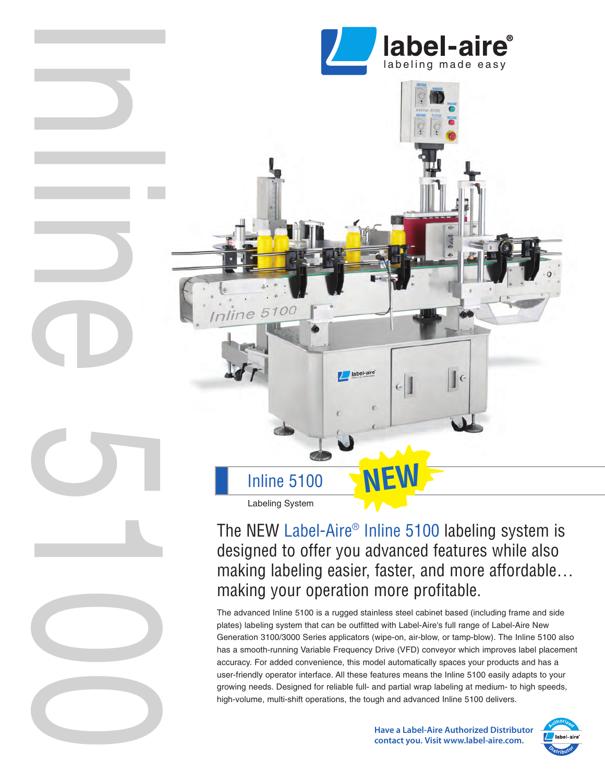

trine labeling systems™

 $\vert$   $\epsilon$ 

s a v e l a t e r.

# Inline 5100

Labeling System

Inline

5

I

l

i

n

O

 $\sigma$ 

11

 $\bigcirc$ 

 $\bigcirc$ 

n

## The NEW Label-Aire® Inline 5100 labeling system is designed to offer you advanced features while also making labeling easier, faster, and more affordable… making your operation more profitable.

**NEW**

 $\epsilon$ 

The advanced Inline 5100 is a rugged stainless steel cabinet based (including frame and side plates) labeling system that can be outfitted with Label-Aire's full range of Label-Aire New Generation 3100/3000 Series applicators (wipe-on, air-blow, or tamp-blow). The Inline 5100 also has a smooth-running Variable Frequency Drive (VFD) conveyor which improves label placement accuracy. For added convenience, this model automatically spaces your products and has a user-friendly operator interface. All these features means the Inline 5100 easily adapts to your growing needs. Designed for reliable full- and partial wrap labeling at medium- to high speeds, high-volume, multi-shift operations, the tough and advanced Inline 5100 delivers.

> **Have a Label-Aire Authorized Distributor contact you. Visit www.label-aire.com.**